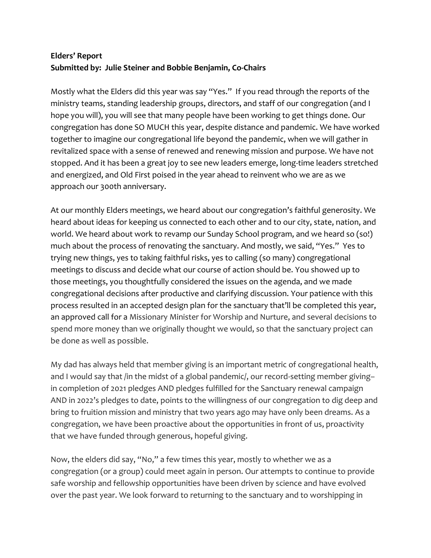## **Elders' Report Submitted by: Julie Steiner and Bobbie Benjamin, Co-Chairs**

Mostly what the Elders did this year was say "Yes." If you read through the reports of the ministry teams, standing leadership groups, directors, and staff of our congregation (and I hope you will), you will see that many people have been working to get things done. Our congregation has done SO MUCH this year, despite distance and pandemic. We have worked together to imagine our congregational life beyond the pandemic, when we will gather in revitalized space with a sense of renewed and renewing mission and purpose. We have not stopped. And it has been a great joy to see new leaders emerge, long-time leaders stretched and energized, and Old First poised in the year ahead to reinvent who we are as we approach our 300th anniversary.

At our monthly Elders meetings, we heard about our congregation's faithful generosity. We heard about ideas for keeping us connected to each other and to our city, state, nation, and world. We heard about work to revamp our Sunday School program, and we heard so (so!) much about the process of renovating the sanctuary. And mostly, we said, "Yes." Yes to trying new things, yes to taking faithful risks, yes to calling (so many) congregational meetings to discuss and decide what our course of action should be. You showed up to those meetings, you thoughtfully considered the issues on the agenda, and we made congregational decisions after productive and clarifying discussion. Your patience with this process resulted in an accepted design plan for the sanctuary that'll be completed this year, an approved call for a Missionary Minister for Worship and Nurture, and several decisions to spend more money than we originally thought we would, so that the sanctuary project can be done as well as possible.

My dad has always held that member giving is an important metric of congregational health, and I would say that /in the midst of a global pandemic/, our record-setting member giving– in completion of 2021 pledges AND pledges fulfilled for the Sanctuary renewal campaign AND in 2022's pledges to date, points to the willingness of our congregation to dig deep and bring to fruition mission and ministry that two years ago may have only been dreams. As a congregation, we have been proactive about the opportunities in front of us, proactivity that we have funded through generous, hopeful giving.

Now, the elders did say, "No," a few times this year, mostly to whether we as a congregation (or a group) could meet again in person. Our attempts to continue to provide safe worship and fellowship opportunities have been driven by science and have evolved over the past year. We look forward to returning to the sanctuary and to worshipping in